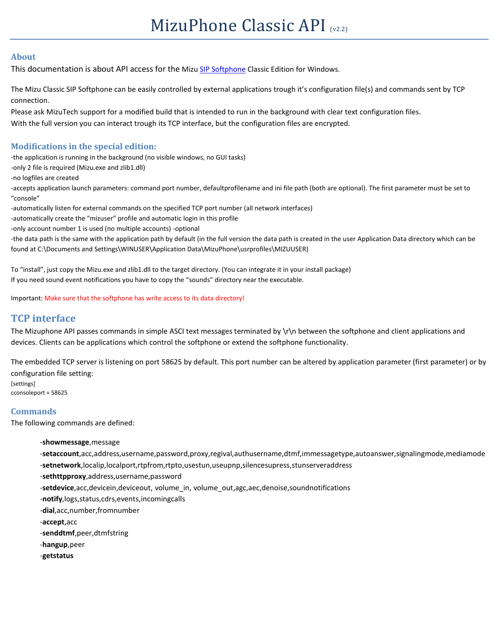#### **About**

This documentation is about API access for the Miz[u SIP Softphone](https://www.mizu-voip.com/Software/Softphones/Windowssoftphone/WindowsSoftphoneClassic.aspx) Classic Edition for Windows.

The Mizu Classic SIP Softphone can be easily controlled by external applications trough it's configuration file(s) and commands sent by TCP connection.

Please ask MizuTech support for a modified build that is intended to run in the background with clear text configuration files.

With the full version you can interact trough its TCP interface, but the configuration files are encrypted.

#### **Modifications in the special edition:**

-the application is running in the background (no visible windows, no GUI tasks)

-only 2 file is required (Mizu.exe and zlib1.dll)

-no logfiles are created

-accepts application launch parameters: command port number, defaultprofilename and ini file path (both are optional). The first parameter must be set to "console"

-automatically listen for external commands on the specified TCP port number (all network interfaces)

-automatically create the "mizuser" profile and automatic login in this profile

-only account number 1 is used (no multiple accounts) -optional

-the data path is the same with the application path by default (in the full version the data path is created in the user Application Data directory which can be found at C:\Documents and Settings\WINUSER\Application Data\MizuPhone\usrprofiles\MIZUUSER)

To "install", just copy the Mizu.exe and zlib1.dll to the target directory. (You can integrate it in your install package) If you need sound event notifications you have to copy the "sounds" directory near the executable.

Important: Make sure that the softphone has write access to its data directory!

# **TCP interface**

The Mizuphone API passes commands in simple ASCI text messages terminated by \r\n between the softphone and client applications and devices. Clients can be applications which control the softphone or extend the softphone functionality.

The embedded TCP server is listening on port 58625 by default. This port number can be altered by application parameter (first parameter) or by configuration file setting:

[settings] cconsoleport = 58625

### **Commands**

The following commands are defined:

-**showmessage**,message

-**setaccount**,acc,address,username,password,proxy,regival,authusername,dtmf,immessagetype,autoanswer,signalingmode,mediamode -**setnetwork**,localip,localport,rtpfrom,rtpto,usestun,useupnp,silencesupress,stunserveraddress

- -**sethttpproxy**,address,username,password
- -**setdevice**,acc,devicein,deviceout, volume\_in, volume\_out,agc,aec,denoise,soundnotifications
- -**notify**,logs,status,cdrs,events,incomingcalls

-**dial**,acc,number,fromnumber

-**accept**,acc

-**senddtmf**,peer,dtmfstring

- -**hangup**,peer
- -**getstatus**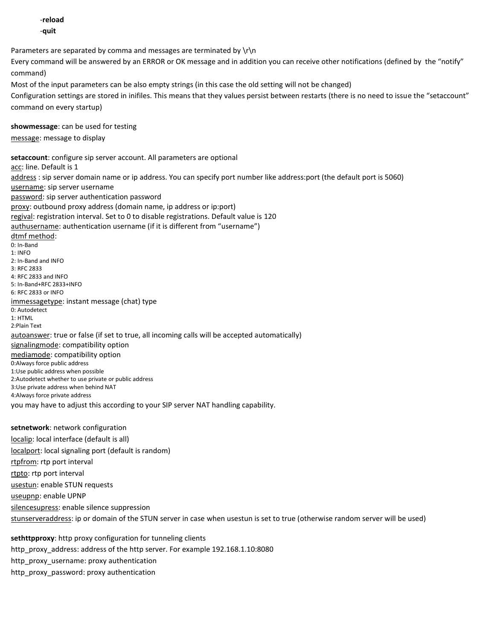-**reload** -**quit** Parameters are separated by comma and messages are terminated by  $\ln$ Every command will be answered by an ERROR or OK message and in addition you can receive other notifications (defined by the "notify" command) Most of the input parameters can be also empty strings (in this case the old setting will not be changed) Configuration settings are stored in inifiles. This means that they values persist between restarts (there is no need to issue the "setaccount" command on every startup) **showmessage**: can be used for testing message: message to display **setaccount**: configure sip server account. All parameters are optional acc: line. Default is 1 address : sip server domain name or ip address. You can specify port number like address:port (the default port is 5060) username: sip server username password: sip server authentication password proxy: outbound proxy address (domain name, ip address or ip:port) regival: registration interval. Set to 0 to disable registrations. Default value is 120 authusername: authentication username (if it is different from "username") dtmf method: 0: In-Band 1: INFO 2: In-Band and INFO 3: RFC 2833 4: RFC 2833 and INFO 5: In-Band+RFC 2833+INFO 6: RFC 2833 or INFO immessagetype: instant message (chat) type 0: Autodetect 1: HTML 2:Plain Text autoanswer: true or false (if set to true, all incoming calls will be accepted automatically) signalingmode: compatibility option mediamode: compatibility option 0:Always force public address 1:Use public address when possible 2:Autodetect whether to use private or public address 3:Use private address when behind NAT 4:Always force private address you may have to adjust this according to your SIP server NAT handling capability. **setnetwork**: network configuration localip: local interface (default is all) localport: local signaling port (default is random) rtpfrom: rtp port interval

rtpto: rtp port interval usestun: enable STUN requests useupnp: enable UPNP silencesupress: enable silence suppression stunserveraddress: ip or domain of the STUN server in case when usestun is set to true (otherwise random server will be used)

**sethttpproxy**: http proxy configuration for tunneling clients http\_proxy\_address: address of the http server. For example 192.168.1.10:8080 http\_proxy\_username: proxy authentication http\_proxy\_password: proxy authentication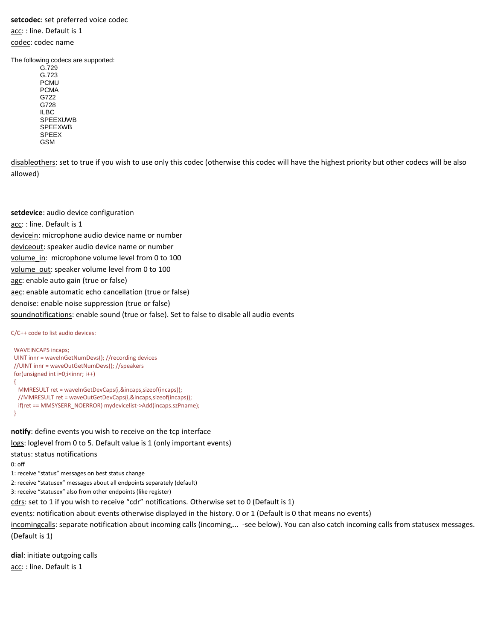### **setcodec**: set preferred voice codec

acc: : line. Default is 1 codec: codec name

The following codecs are supported:

G.729 G.723 PCMU PCMA G722 G728 ILBC SPEEXUWB SPEEXWB SPEEX GSM

disableothers: set to true if you wish to use only this codec (otherwise this codec will have the highest priority but other codecs will be also allowed)

**setdevice**: audio device configuration acc: : line. Default is 1 devicein: microphone audio device name or number deviceout: speaker audio device name or number volume in: microphone volume level from 0 to 100 volume\_out: speaker volume level from 0 to 100 agc: enable auto gain (true or false) aec: enable automatic echo cancellation (true or false) denoise: enable noise suppression (true or false) soundnotifications: enable sound (true or false). Set to false to disable all audio events

C/C++ code to list audio devices:

```
 WAVEINCAPS incaps;
 UINT innr = waveInGetNumDevs(); //recording devices
 //UINT innr = waveOutGetNumDevs(); //speakers
for(unsigned int i=0;i<innr; i++)
 {
  MMRESULT ret = waveInGetDevCaps(i,&incaps,sizeof(incaps));
  //MMRESULT ret = waveOutGetDevCaps(i,&incaps,sizeof(incaps));
  if(ret == MMSYSERR_NOERROR) mydevicelist->Add(incaps.szPname);
 }
```
**notify**: define events you wish to receive on the tcp interface

logs: loglevel from 0 to 5. Default value is 1 (only important events)

status: status notifications

0: off

1: receive "status" messages on best status change

2: receive "statusex" messages about all endpoints separately (default)

3: receive "statusex" also from other endpoints (like register)

cdrs: set to 1 if you wish to receive "cdr" notifications. Otherwise set to 0 (Default is 1)

events: notification about events otherwise displayed in the history. 0 or 1 (Default is 0 that means no events)

incomingcalls: separate notification about incoming calls (incoming,... -see below). You can also catch incoming calls from statusex messages. (Default is 1)

**dial**: initiate outgoing calls acc: : line. Default is 1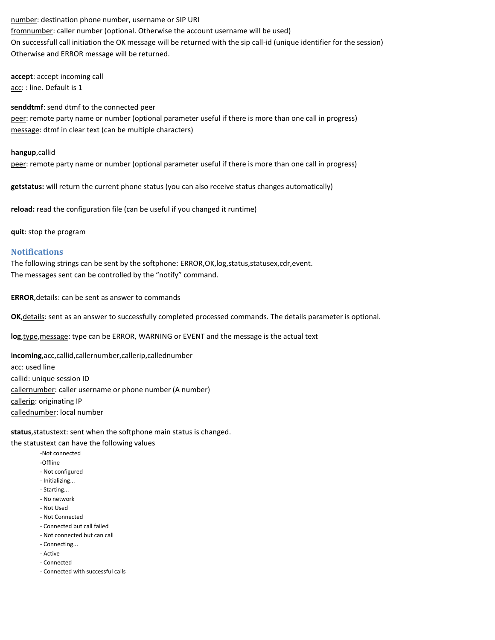number: destination phone number, username or SIP URI fromnumber: caller number (optional. Otherwise the account username will be used) On successfull call initiation the OK message will be returned with the sip call-id (unique identifier for the session) Otherwise and ERROR message will be returned.

**accept**: accept incoming call acc: : line. Default is 1

**senddtmf**: send dtmf to the connected peer

peer: remote party name or number (optional parameter useful if there is more than one call in progress) message: dtmf in clear text (can be multiple characters)

**hangup**,callid

peer: remote party name or number (optional parameter useful if there is more than one call in progress)

**getstatus:** will return the current phone status (you can also receive status changes automatically)

**reload:** read the configuration file (can be useful if you changed it runtime)

**quit**: stop the program

#### **Notifications**

The following strings can be sent by the softphone: ERROR, OK, log, status, statusex, cdr, event. The messages sent can be controlled by the "notify" command.

**ERROR**,details: can be sent as answer to commands

**OK**,details: sent as an answer to successfully completed processed commands. The details parameter is optional.

**log**,type,message: type can be ERROR, WARNING or EVENT and the message is the actual text

**incoming**,acc,callid,callernumber,callerip,callednumber acc: used line callid: unique session ID callernumber: caller username or phone number (A number) callerip: originating IP callednumber: local number

status, statustext: sent when the softphone main status is changed.

the statustext can have the following values

- -Not connected
- -Offline
- Not configured
- Initializing...
- Starting...
- No network
- Not Used
- Not Connected
- Connected but call failed
- Not connected but can call
- Connecting...
- Active
- Connected
- Connected with successful calls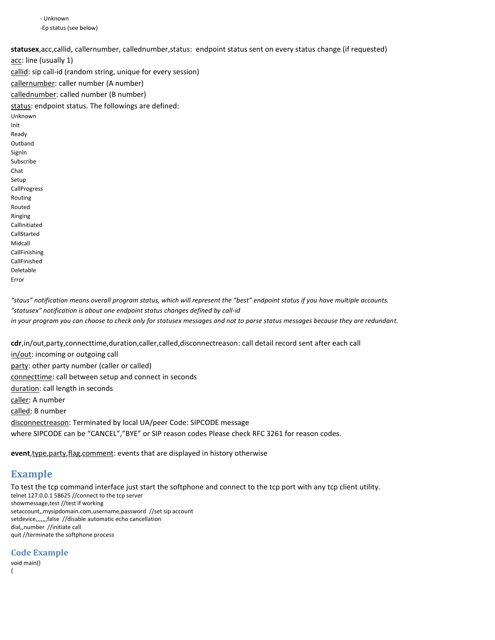- Unknown -Ep status (see below)

statusex, acc, callid, callernumber, callednumber, status: endpoint status sent on every status change (if requested)

acc: line (usually 1) callid: sip call-id (random string, unique for every session) callernumber: caller number (A number) callednumber: called number (B number) status: endpoint status. The followings are defined: Unknown Init Ready **Outband** SignIn Subscribe Chat Setup CallProgress Routing Routed Ringing CallInitiated CallStarted Midcall CallFinishing CallFinished Deletable Error

*"staus" notification means overall program status, which will represent the "best" endpoint status if you have multiple accounts. "statusex" notification is about one endpoint status changes defined by call-id in your program you can choose to check only for statusex messages and not to parse status messages because they are redundant.*

**cdr**,in/out,party,connecttime,duration,caller,called,disconnectreason: call detail record sent after each call in/out: incoming or outgoing call party: other party number (caller or called) connecttime: call between setup and connect in seconds duration: call length in seconds caller: A number called: B number disconnectreason: Terminated by local UA/peer Code: SIPCODE message where SIPCODE can be "CANCEL","BYE" or SIP reason codes Please check RFC 3261 for reason codes.

**event**,type,party,flag,comment: events that are displayed in history otherwise

### **Example**

To test the tcp command interface just start the softphone and connect to the tcp port with any tcp client utility. telnet 127.0.0.1 58625 //connect to the tcp server showmessage,test //test if working setaccount,,mysipdomain.com,username,password //set sip account setdevice,,,,,,,false //disable automatic echo cancellation dial,,number //initiate call quit //terminate the softphone process

**Code Example**

void main() {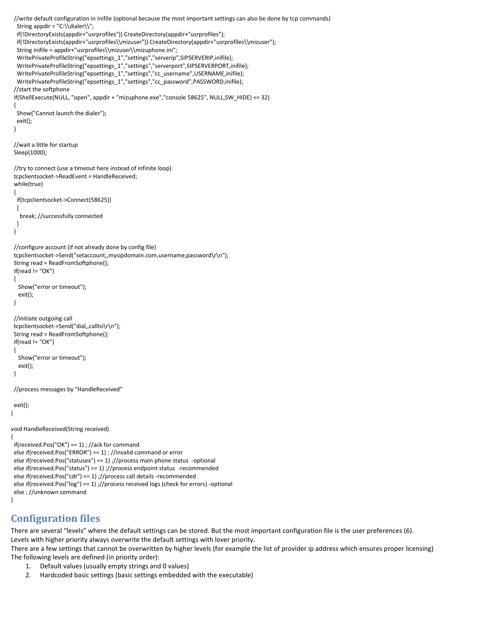```
 //write default configuration in inifile (optional because the most important settings can also be done by tcp commands)
   String appdir = "C:\\dialer\\";
   if(!DirectoryExists(appdir+"usrprofiles")) CreateDirectory(appdir+"usrprofiles");
   if(!DirectoryExists(appdir+"usrprofiles\\mizuser")) CreateDirectory(appdir+"usrprofiles\\mizuser");
   String inifile = appdir+"usrprofiles\\mizuser\\mizuphone.ini";
  WritePrivateProfileString("epsettings_1","settings","serverip",SIPSERVERIP,inifile);
   WritePrivateProfileString("epsettings_1","settings","serverport",SIPSERVERPORT,inifile);
   WritePrivateProfileString("epsettings_1","settings","cc_username",USERNAME,inifile);
   WritePrivateProfileString("epsettings_1","settings","cc_password",PASSWORD,inifile);
  //start the softphone
  if(ShellExecute(NULL, "open", appdir + "mizuphone.exe","console 58625", NULL,SW_HIDE) <= 32)
  {
   Show("Cannot launch the dialer");
   exit();
  }
  //wait a little for startup
  Sleep(1000);
  //try to connect (use a timeout here instead of infinite loop)
  tcpclientsocket->ReadEvent = HandleReceived;
  while(true)
  {
   if(tcpclientsocket->Connect(58625))
   {
    break; //successfully connected
   }
  }
  //configure account (if not already done by config file)
  tcpclientsocket->Send("setaccount,,mysipdomain.com,username,password\r\n");
  String read = ReadFromSoftphone();
 if(\text{read } != "OK") {
    Show("error or timeout");
    exit();
  }
  //initiate outgoing call
  tcpclientsocket->Send("dial,,callto\r\n");
  String read = ReadFromSoftphone();
 if(\text{read } != "OK") {
   Show("error or timeout");
    exit();
  }
  //process messages by "HandleReceived"
  exit();
}
void HandleReceived(String received)
{
  if(received.Pos("OK") == 1) ; //ack for command
  else if(received.Pos("ERROR") == 1) ; //invalid command or error
  else if(received.Pos("statusex") == 1) ;//process main phone status -optional
  else if(received.Pos("status") == 1) ;//process endpoint status -recommended
  else if(received.Pos("cdr") == 1) ;//process call details -recommended
  else if(received.Pos("log") == 1) ;//process received logs (check for errors) -optional
  else ; //unknown command
```

```
}
```
# **Configuration files**

There are several "levels" where the default settings can be stored. But the most important configuration file is the user preferences (6). Levels with higher priority always overwrite the default settings with lover priority.

There are a few settings that cannot be overwritten by higher levels (for example the list of provider ip address which ensures proper licensing) The following levels are defined (in priority order):

- 1. Default values (usually empty strings and 0 values)
- 2. Hardcoded basic settings (basic settings embedded with the executable)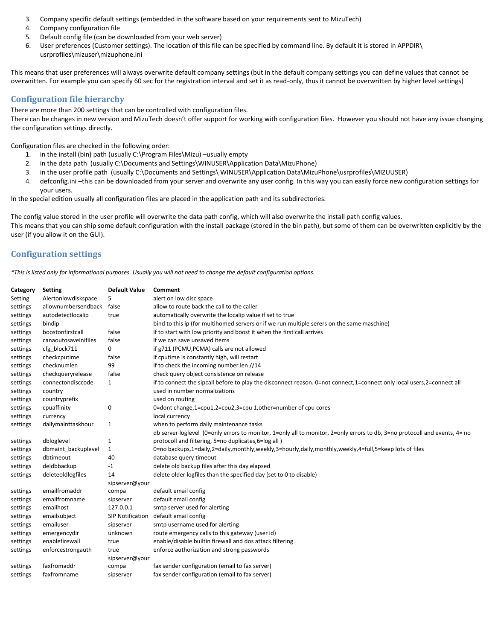- 3. Company specific default settings (embedded in the software based on your requirements sent to MizuTech)
- 4. Company configuration file
- 5. Default config file (can be downloaded from your web server)
- 6. User preferences (Customer settings). The location of this file can be specified by command line. By default it is stored in APPDIR\ usrprofiles\mizuser\mizuphone.ini

This means that user preferences will always overwrite default company settings (but in the default company settings you can define values that cannot be overwritten. For example you can specify 60 sec for the registration interval and set it as read-only, thus it cannot be overwritten by higher level settings)

#### **Configuration file hierarchy**

There are more than 200 settings that can be controlled with configuration files.

There can be changes in new version and MizuTech doesn't offer support for working with configuration files. However you should not have any issue changing the configuration settings directly.

Configuration files are checked in the following order:

- 1. in the install (bin) path (usually C:\Program Files\Mizu) –usually empty
- 2. in the data path (usually C:\Documents and Settings\WINUSER\Application Data\MizuPhone)
- 3. in the user profile path (usually C:\Documents and Settings\ WINUSER\Application Data\MizuPhone\usrprofiles\MIZUUSER)
- 4. defconfig.ini –this can be downloaded from your server and overwrite any user config. In this way you can easily force new configuration settings for your users.

In the special edition usually all configuration files are placed in the application path and its subdirectories.

The config value stored in the user profile will overwrite the data path config, which will also overwrite the install path config values. This means that you can ship some default configuration with the install package (stored in the bin path), but some of them can be overwritten explicitly by the user (if you allow it on the GUI).

#### **Configuration settings**

*\*This is listed only for informational purposes. Usually you will not need to change the default configuration options.*

| Category | <b>Setting</b>       | <b>Default Value</b> | Comment                                                                                                                    |
|----------|----------------------|----------------------|----------------------------------------------------------------------------------------------------------------------------|
| Setting  | Alertonlowdiskspace  | 5                    | alert on low disc space                                                                                                    |
| settings | allownumbersendback  | false                | allow to route back the call to the caller                                                                                 |
| settings | autodetectlocalip    | true                 | automatically overwrite the localip value if set to true                                                                   |
| settings | bindip               |                      | bind to this ip (for multihomed servers or if we run multiple serers on the same maschine)                                 |
| settings | boostonfirstcall     | false                | if to start with low priority and boost it when the first call arrives                                                     |
| settings | canaoutosaveinifiles | false                | if we can save unsaved items                                                                                               |
| settings | cfg_block711         | 0                    | if g711 (PCMU, PCMA) calls are not allowed                                                                                 |
| settings | checkcputime         | false                | if cputime is constantly high, will restart                                                                                |
| settings | checknumlen          | 99                   | if to check the incoming number len //14                                                                                   |
| settings | checkqueryrelease    | false                | check query object consistence on release                                                                                  |
| settings | connectondisccode    | 1                    | if to connect the sipcall before to play the disconnect reason. 0=not connect,1=connect only local users,2=connect all     |
| settings | country              |                      | used in number normalizations                                                                                              |
| settings | countryprefix        |                      | used on routing                                                                                                            |
| settings | cpuaffinity          | 0                    | 0=dont change,1=cpu1,2=cpu2,3=cpu 1,other=number of cpu cores                                                              |
| settings | currency             |                      | local currency                                                                                                             |
| settings | dailymainttaskhour   | $\mathbf{1}$         | when to perform daily maintenance tasks                                                                                    |
|          |                      |                      | db server loglevel (0=only errors to monitor, 1=only all to monitor, 2=only errors to db, 3=no protocoll and events, 4= no |
| settings | dbloglevel           | 1                    | protocoll and filtering, 5=no duplicates, 6=log all)                                                                       |
| settings | dbmaint backuplevel  | 1                    | 0=no backups,1=daily,2=daily,monthly,weekly,3=hourly,daily,monthly,weekly,4=full,5=keep lots of files                      |
| settings | dbtimeout            | 40                   | database query timeout                                                                                                     |
| settings | deldbbackup          | $-1$                 | delete old backup files after this day elapsed                                                                             |
| settings | deleteoldlogfiles    | 14                   | delete older logfiles than the specified day (set to 0 to disable)                                                         |
|          |                      | sipserver@your       |                                                                                                                            |
| settings | emailfromaddr        | compa                | default email config                                                                                                       |
| settings | emailfromname        | sipserver            | default email config                                                                                                       |
| settings | emailhost            | 127.0.0.1            | smtp server used for alerting                                                                                              |
| settings | emailsubject         | SIP Notification     | default email config                                                                                                       |
| settings | emailuser            | sipserver            | smtp username used for alerting                                                                                            |
| settings | emergencydir         | unknown              | route emergency calls to this gateway (user id)                                                                            |
| settings | enablefirewall       | true                 | enable/disable builtin firewall and dos attack filtering                                                                   |
| settings | enforcestrongauth    | true                 | enforce authorization and strong passwords                                                                                 |
|          |                      | sipserver@your       |                                                                                                                            |
| settings | faxfromaddr          | compa                | fax sender configuration (email to fax server)                                                                             |
| settings | faxfromname          | sipserver            | fax sender configuration (email to fax server)                                                                             |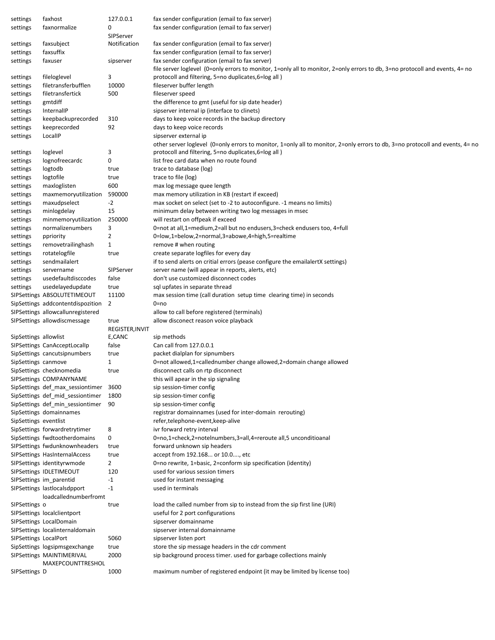| settings              | faxhost                           | 127.0.0.1       | fax sender configuration (email to fax server)                                                                                |
|-----------------------|-----------------------------------|-----------------|-------------------------------------------------------------------------------------------------------------------------------|
| settings              | faxnormalize                      | 0               | fax sender configuration (email to fax server)                                                                                |
|                       |                                   | SIPServer       |                                                                                                                               |
| settings              | faxsubject                        | Notification    | fax sender configuration (email to fax server)                                                                                |
| settings              | faxsuffix                         |                 | fax sender configuration (email to fax server)                                                                                |
| settings              | faxuser                           | sipserver       | fax sender configuration (email to fax server)                                                                                |
|                       |                                   |                 | file server loglevel (0=only errors to monitor, 1=only all to monitor, 2=only errors to db, 3=no protocoll and events, 4= no  |
| settings              | fileloglevel                      | 3               | protocoll and filtering, 5=no duplicates, 6=log all)                                                                          |
|                       |                                   |                 |                                                                                                                               |
| settings              | filetransferbufflen               | 10000           | fileserver buffer length                                                                                                      |
| settings              | filetransfertick                  | 500             | fileserver speed                                                                                                              |
| settings              | gmtdiff                           |                 | the difference to gmt (useful for sip date header)                                                                            |
| settings              | InternallP                        |                 | sipserver internal ip (interface to clinets)                                                                                  |
| settings              | keepbackuprecorded                | 310             | days to keep voice records in the backup directory                                                                            |
| settings              | keeprecorded                      | 92              | days to keep voice records                                                                                                    |
| settings              | LocalIP                           |                 | sipserver external ip                                                                                                         |
|                       |                                   |                 | other server loglevel (0=only errors to monitor, 1=only all to monitor, 2=only errors to db, 3=no protocoll and events, 4= no |
| settings              | loglevel                          | 3               | protocoll and filtering, 5=no duplicates,6=log all)                                                                           |
| settings              | lognofreecardc                    | 0               | list free card data when no route found                                                                                       |
|                       | logtodb                           |                 | trace to database (log)                                                                                                       |
| settings              |                                   | true            |                                                                                                                               |
| settings              | logtofile                         | true            | trace to file (log)                                                                                                           |
| settings              | maxloglisten                      | 600             | max log message quee length                                                                                                   |
| settings              | maxmemoryutilization              | 590000          | max memory utilization in KB (restart if exceed)                                                                              |
| settings              | maxudpselect                      | $-2$            | max socket on select (set to -2 to autoconfigure. -1 means no limits)                                                         |
| settings              | minlogdelay                       | 15              | minimum delay between writing two log messages in msec                                                                        |
| settings              | minmemoryutilization              | 250000          | will restart on offpeak if exceed                                                                                             |
| settings              | normalizenumbers                  | 3               | 0=not at all,1=medium,2=all but no endusers,3=check endusers too, 4=full                                                      |
| settings              | ppriority                         | $\overline{2}$  | 0=low,1=below,2=normal,3=abowe,4=high,5=realtime                                                                              |
| settings              | removetrailinghash                | $\mathbf{1}$    | remove # when routing                                                                                                         |
|                       | rotatelogfile                     | true            | create separate logfiles for every day                                                                                        |
| settings              |                                   |                 |                                                                                                                               |
| settings              | sendmailalert                     |                 | if to send alerts on critial errors (pease configure the emailalertX settings)                                                |
| settings              | servername                        | SIPServer       | server name (will appear in reports, alerts, etc)                                                                             |
| settings              | usedefaultdisccodes               | false           | don't use customized disconnect codes                                                                                         |
| settings              | usedelayedupdate                  | true            | sql upfates in separate thread                                                                                                |
|                       | SIPSettings ABSOLUTETIMEOUT       | 11100           | max session time (call duration setup time clearing time) in seconds                                                          |
|                       | SipSettings addcontentdispozition | 2               | 0=no                                                                                                                          |
|                       | SIPSettings allowcallunregistered |                 | allow to call before registered (terminals)                                                                                   |
|                       | SIPSettings allowdiscmessage      | true            | allow disconect reason voice playback                                                                                         |
|                       |                                   | REGISTER, INVIT |                                                                                                                               |
| SipSettings allowlist |                                   | E,CANC          | sip methods                                                                                                                   |
|                       |                                   |                 | Can call from 127.0.0.1                                                                                                       |
|                       | SIPSettings CanAcceptLocalIp      | false           |                                                                                                                               |
|                       | SipSettings cancutsipnumbers      | true            | packet dialplan for sipnumbers                                                                                                |
| SipSettings canmove   |                                   | 1               | 0=not allowed,1=callednumber change allowed,2=domain change allowed                                                           |
|                       | SipSettings checknomedia          | true            | disconnect calls on rtp disconnect                                                                                            |
|                       | SIPSettings COMPANYNAME           |                 | this will apear in the sip signaling                                                                                          |
|                       | SipSettings def_max_sessiontimer  | 3600            | sip session-timer config                                                                                                      |
|                       | SipSettings def mid sessiontimer  | 1800            | sip session-timer config                                                                                                      |
|                       | SipSettings def_min_sessiontimer  | 90              | sip session-timer config                                                                                                      |
|                       | SipSettings domainnames           |                 | registrar domainnames (used for inter-domain rerouting)                                                                       |
| SipSettings eventlist |                                   |                 | refer, telephone-event, keep-alive                                                                                            |
|                       |                                   |                 |                                                                                                                               |
|                       | SipSettings forwardretrytimer     | 8               | ivr forward retry interval                                                                                                    |
|                       | SipSettings fwdtootherdomains     | 0               | 0=no,1=check,2=notelnumbers,3=all,4=reroute all,5 unconditioanal                                                              |
|                       | SIPSettings fwdunknownheaders     | true            | forward unknown sip headers                                                                                                   |
|                       | SIPSettings HasInternalAccess     | true            | accept from 192.168 or 10.0, etc                                                                                              |
|                       | SIPSettings identityrwmode        | $\overline{2}$  | 0=no rewrite, 1=basic, 2=conform sip specification (identity)                                                                 |
|                       | SIPSettings IDLETIMEOUT           | 120             | used for various session timers                                                                                               |
|                       | SIPSettings im_parentid           | -1              | used for instant messaging                                                                                                    |
|                       | SIPSettings lastlocalsdpport      | $-1$            | used in terminals                                                                                                             |
|                       | loadcallednumberfromt             |                 |                                                                                                                               |
|                       |                                   |                 |                                                                                                                               |
| SIPSettings o         |                                   | true            | load the called number from sip to instead from the sip first line (URI)                                                      |
|                       | SIPSettings localclientport       |                 | useful for 2 port configurations                                                                                              |
|                       | SIPSettings LocalDomain           |                 | sipserver domainname                                                                                                          |
|                       | SIPSettings localinternaldomain   |                 | sipserver internal domainname                                                                                                 |
| SIPSettings LocalPort |                                   | 5060            | sipserver listen port                                                                                                         |
|                       | SipSettings logsipmsgexchange     | true            | store the sip message headers in the cdr comment                                                                              |
|                       | SIPSettings MAINTIMERIVAL         | 2000            | sip background process timer. used for garbage collections mainly                                                             |
|                       | MAXEPCOUNTTRESHOL                 |                 |                                                                                                                               |
| SIPSettings D         |                                   | 1000            | maximum number of registered endpoint (it may be limited by license too)                                                      |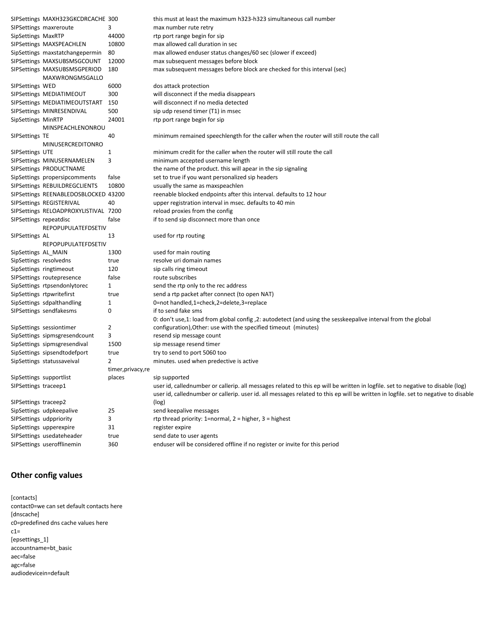|                         | SIPSettings MAXH323GKCDRCACHE 300    |                    | this must at least the maximum h323-h323 simultaneous call number                                                                  |
|-------------------------|--------------------------------------|--------------------|------------------------------------------------------------------------------------------------------------------------------------|
|                         | SIPSettings maxreroute               | 3                  | max number rute retry                                                                                                              |
| SipSettings MaxRTP      |                                      | 44000              | rtp port range begin for sip                                                                                                       |
|                         | SIPSettings MAXSPEACHLEN             | 10800              | max allowed call duration in sec                                                                                                   |
|                         | SipSettings maxstatchangepermin      | 80                 | max allowed enduser status changes/60 sec (slower if exceed)                                                                       |
|                         | SIPSettings MAXSUBSMSGCOUNT          | 12000              | max subsequent messages before block                                                                                               |
|                         | SIPSettings MAXSUBSMSGPERIOD         | 180                | max subsequent messages before block are checked for this interval (sec)                                                           |
|                         | MAXWRONGMSGALLO                      |                    |                                                                                                                                    |
| SIPSettings WED         |                                      | 6000               | dos attack protection                                                                                                              |
|                         | SIPSettings MEDIATIMEOUT             | 300                | will disconnect if the media disappears                                                                                            |
|                         | SIPSettings MEDIATIMEOUTSTART        | 150                | will disconnect if no media detected                                                                                               |
|                         | SIPSettings MINRESENDIVAL            | 500                | sip udp resend timer (T1) in msec                                                                                                  |
| SipSettings MinRTP      |                                      | 24001              | rtp port range begin for sip                                                                                                       |
|                         | MINSPEACHLENONROU                    |                    |                                                                                                                                    |
| SIPSettings TE          |                                      | 40                 | minimum remained speechlength for the caller when the router will still route the call                                             |
|                         | MINUSERCREDITONRO                    |                    |                                                                                                                                    |
| SIPSettings UTE         |                                      | 1                  | minimum credit for the caller when the router will still route the call                                                            |
|                         | SIPSettings MINUSERNAMELEN           | 3                  | minimum accepted username length                                                                                                   |
|                         | SIPSettings PRODUCTNAME              |                    | the name of the product. this will apear in the sip signaling                                                                      |
|                         | SipSettings propersipcomments        | false              | set to true if you want personalized sip headers                                                                                   |
|                         | SIPSettings REBUILDREGCLIENTS        | 10800              | usually the same as maxspeachlen                                                                                                   |
|                         | SIPSettings REENABLEDOSBLOCKED 43200 |                    | reenable blocked endpoints after this interval. defaults to 12 hour                                                                |
|                         | SIPSettings REGISTERIVAL             | 40                 | upper registration interval in msec. defaults to 40 min                                                                            |
|                         | SIPSettings RELOADPROXYLISTIVAL 7200 |                    | reload proxies from the config                                                                                                     |
| SIPSettings repeatdisc  |                                      | false              | if to send sip disconnect more than once                                                                                           |
|                         | REPOPUPULATEFDSETIV                  |                    |                                                                                                                                    |
| SIPSettings AL          |                                      | 13                 | used for rtp routing                                                                                                               |
|                         | <b>REPOPUPULATEFDSETIV</b>           |                    |                                                                                                                                    |
| SipSettings AL_MAIN     |                                      | 1300               | used for main routing                                                                                                              |
| SipSettings resolvedns  |                                      | true               | resolve uri domain names                                                                                                           |
|                         | SipSettings ringtimeout              | 120                | sip calls ring timeout                                                                                                             |
|                         | SIPSettings routepresence            | false              | route subscribes                                                                                                                   |
|                         | SipSettings rtpsendonlytorec         | 1                  | send the rtp only to the rec address                                                                                               |
|                         | SipSettings rtpwritefirst            | true               | send a rtp packet after connect (to open NAT)                                                                                      |
|                         | SipSettings sdpalthandling           | 1                  | 0=not handled,1=check,2=delete,3=replace                                                                                           |
|                         | SIPSettings sendfakesms              | 0                  | if to send fake sms                                                                                                                |
|                         |                                      |                    | 0: don't use,1: load from global config ,2: autodetect (and using the sesskeepalive interval from the global                       |
|                         | SipSettings sessiontimer             | 2                  | configuration), Other: use with the specified timeout (minutes)                                                                    |
|                         | SipSettings sipmsgresendcount        | 3                  | resend sip message count                                                                                                           |
|                         | SipSettings sipmsgresendival         | 1500               | sip message resend timer                                                                                                           |
|                         | SipSettings sipsendtodefport         | true               | try to send to port 5060 too                                                                                                       |
|                         | SipSettings statussaveival           | 2                  | minutes. used when predective is active                                                                                            |
|                         |                                      | timer, privacy, re |                                                                                                                                    |
| SipSettings supportlist |                                      | places             | sip supported                                                                                                                      |
| SIPSettings traceep1    |                                      |                    | user id, callednumber or callerip. all messages related to this ep will be written in logfile. set to negative to disable (log)    |
|                         |                                      |                    | user id, callednumber or callerip. user id. all messages related to this ep will be written in logfile. set to negative to disable |
| SIPSettings traceep2    |                                      |                    | (log)                                                                                                                              |
|                         | SipSettings udpkeepalive             | 25                 | send keepalive messages                                                                                                            |
|                         | SIPSettings udppriority              | 3                  | rtp thread priority: 1=normal, $2$ = higher, $3$ = highest                                                                         |
|                         | SipSettings upperexpire              | 31                 | register expire                                                                                                                    |
|                         | SIPSettings usedateheader            | true               | send date to user agents                                                                                                           |
|                         | SIPSettings userofflinemin           | 360                | enduser will be considered offline if no register or invite for this period                                                        |

# **Other config values**

[contacts] contact0=we can set default contacts here [dnscache] c0=predefined dns cache values here  $c1=$ [epsettings\_1] accountname=bt\_basic aec=false agc=false audiodevicein=default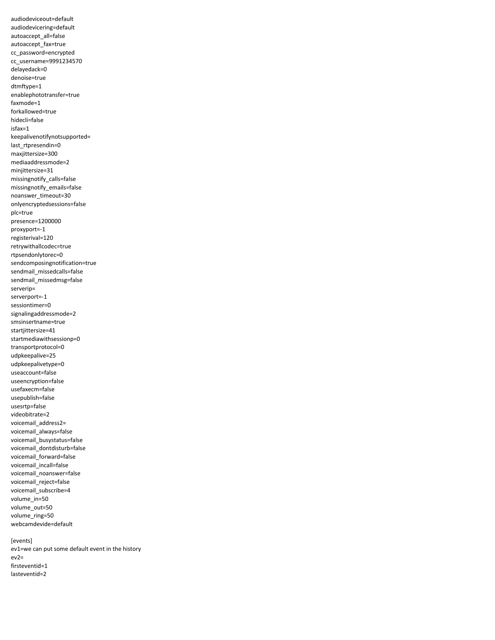audiodeviceout=default audiodevicering=default autoaccept\_all=false autoaccept\_fax=true cc\_password=encrypted cc\_username=9991234570 delayedack=0 denoise=true dtmftype=1 enablephototransfer=true faxmode=1 forkallowed=true hidecli=false isfax=1 keepalivenotifynotsupported= last\_rtpresendin=0 maxjittersize=300 mediaaddressmode=2 minjittersize=31 missingnotify\_calls=false missingnotify\_emails=false noanswer\_timeout=30 onlyencryptedsessions=false plc=true presence=1200000 proxyport=-1 registerival=120 retrywithallcodec=true rtpsendonlytorec=0 sendcomposingnotification=true sendmail\_missedcalls=false sendmail\_missedmsg=false serverip= serverport=-1 sessiontimer=0 signalingaddressmode=2 smsinsertname=true startjittersize=41 startmediawithsessionp=0 transportprotocol=0 udpkeepalive=25 udpkeepalivetype=0 useaccount=false useencryption=false usefaxecm=false usepublish=false usesrtp=false videobitrate=2 voicemail\_address2= voicemail\_always=false voicemail\_busystatus=false voicemail\_dontdisturb=false voicemail\_forward=false voicemail incall=false voicemail\_noanswer=false voicemail\_reject=false voicemail\_subscribe=4 volume\_in=50 volume\_out=50 volume\_ring=50 webcamdevide=default

[events] ev1=we can put some default event in the history ev2= firsteventid=1 lasteventid=2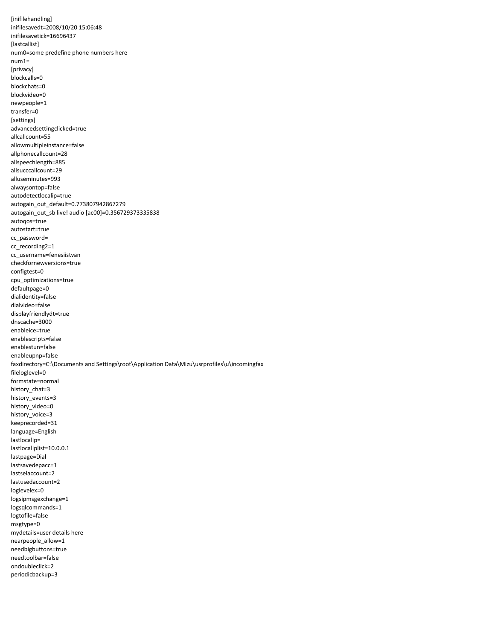[inifilehandling] inifilesavedt=2008/10/20 15:06:48 inifilesavetick=16696437 [lastcallist] num0=some predefine phone numbers here num1= [privacy] blockcalls=0 blockchats=0 blockvideo=0 newpeople=1 transfer=0 [settings] advancedsettingclicked=true allcallcount=55 allowmultipleinstance=false allphonecallcount=28 allspeechlength=885 allsucccallcount=29 alluseminutes=993 alwaysontop=false autodetectlocalip=true autogain\_out\_default=0.773807942867279 autogain\_out\_sb live! audio [ac00]=0.356729373335838 autoqos=true autostart=true cc\_password= cc\_recording2=1 cc\_username=fenesiistvan checkfornewversions=true configtest=0 cpu\_optimizations=true defaultpage=0 dialidentity=false dialvideo=false displayfriendlydt=true dnscache=3000 enableice=true enablescripts=false enablestun=false enableupnp=false faxdirectory=C:\Documents and Settings\root\Application Data\Mizu\usrprofiles\u\incomingfax fileloglevel=0 formstate=normal history\_chat=3 history\_events=3 history\_video=0 history\_voice=3 keeprecorded=31 language=English lastlocalip= lastlocaliplist=10.0.0.1 lastpage=Dial lastsavedepacc=1 lastselaccount=2 lastusedaccount=2 loglevelex=0 logsipmsgexchange=1 logsqlcommands=1 logtofile=false msgtype=0 mydetails=user details here nearpeople\_allow=1 needbigbuttons=true needtoolbar=false ondoubleclick=2 periodicbackup=3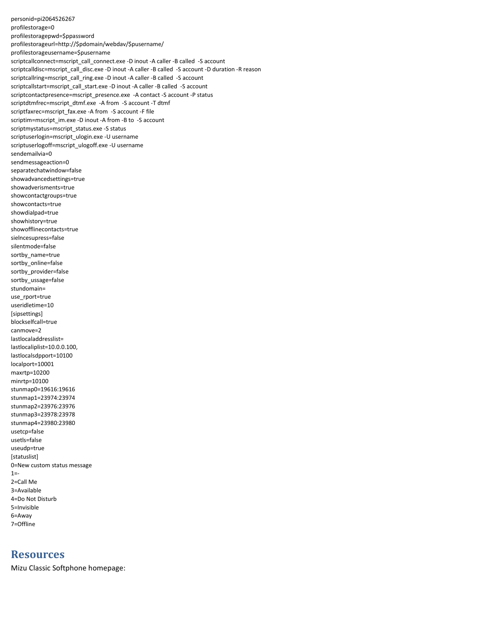personid=pi2064526267 profilestorage=0 profilestoragepwd=\$ppassword profilestorageurl=http://\$pdomain/webdav/\$pusername/ profilestorageusername=\$pusername scriptcallconnect=mscript\_call\_connect.exe -D inout -A caller -B called -S account scriptcalldisc=mscript\_call\_disc.exe -D inout -A caller -B called -S account -D duration -R reason scriptcallring=mscript\_call\_ring.exe -D inout -A caller -B called -S account scriptcallstart=mscript\_call\_start.exe -D inout -A caller -B called -S account scriptcontactpresence=mscript\_presence.exe -A contact -S account -P status scriptdtmfrec=mscript\_dtmf.exe -A from -S account -T dtmf scriptfaxrec=mscript\_fax.exe -A from -S account -F file scriptim=mscript\_im.exe -D inout -A from -B to -S account scriptmystatus=mscript\_status.exe -S status scriptuserlogin=mscript\_ulogin.exe -U username scriptuserlogoff=mscript\_ulogoff.exe -U username sendemailvia=0 sendmessageaction=0 separatechatwindow=false showadvancedsettings=true showadverisments=true showcontactgroups=true showcontacts=true showdialpad=true showhistory=true showofflinecontacts=true sielncesupress=false silentmode=false sortby\_name=true sortby\_online=false sortby\_provider=false sortby\_ussage=false stundomain= use\_rport=true useridletime=10 [sipsettings] blockselfcall=true canmove=2 lastlocaladdresslist= lastlocaliplist=10.0.0.100, lastlocalsdpport=10100 localport=10001 maxrtp=10200 minrtp=10100 stunmap0=19616:19616 stunmap1=23974:23974 stunmap2=23976:23976 stunmap3=23978:23978 stunmap4=23980:23980 usetcp=false usetls=false useudp=true [statuslist] 0=New custom status message  $1 = -$ 2=Call Me 3=Available 4=Do Not Disturb 5=Invisible 6=Away 7=Offline

# **Resources**

Mizu Classic Softphone homepage: